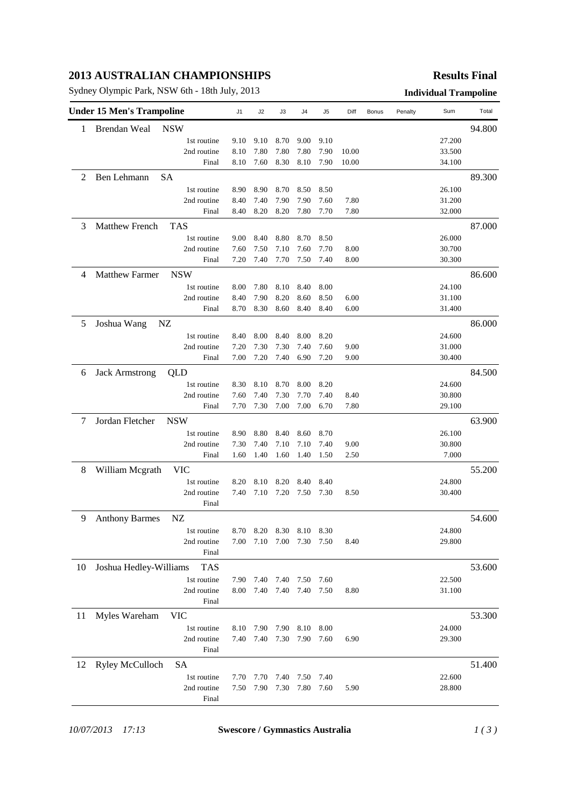## **2013 AUSTRALIAN CHAMPIONSHIPS**

Sydney Olympic Park, NSW 6th - 18th July, 2013 **Individual Trampoline**

#### **Results Final**

|    | <b>Under 15 Men's Trampoline</b> |             |      | J2   | J3        | J4        | J5   | Diff  | Bonus | Penalty | Sum    | Total  |
|----|----------------------------------|-------------|------|------|-----------|-----------|------|-------|-------|---------|--------|--------|
| 1  | <b>Brendan Weal</b>              | <b>NSW</b>  |      |      |           |           |      |       |       |         |        | 94.800 |
|    |                                  | 1st routine | 9.10 | 9.10 | 8.70      | 9.00      | 9.10 |       |       |         | 27.200 |        |
|    |                                  | 2nd routine | 8.10 | 7.80 | 7.80      | 7.80      | 7.90 | 10.00 |       |         | 33.500 |        |
|    |                                  | Final       | 8.10 | 7.60 | 8.30      | 8.10      | 7.90 | 10.00 |       |         | 34.100 |        |
| 2  | Ben Lehmann                      | <b>SA</b>   |      |      |           |           |      |       |       |         |        | 89.300 |
|    |                                  | 1st routine | 8.90 | 8.90 | 8.70      | 8.50      | 8.50 |       |       |         | 26.100 |        |
|    |                                  | 2nd routine | 8.40 | 7.40 | 7.90      | 7.90      | 7.60 | 7.80  |       |         | 31.200 |        |
|    |                                  | Final       | 8.40 | 8.20 | 8.20      | 7.80      | 7.70 | 7.80  |       |         | 32.000 |        |
| 3  | <b>Matthew French</b>            | <b>TAS</b>  |      |      |           |           |      |       |       |         |        | 87.000 |
|    |                                  | 1st routine | 9.00 | 8.40 | 8.80      | 8.70      | 8.50 |       |       |         | 26.000 |        |
|    |                                  | 2nd routine | 7.60 | 7.50 | 7.10      | 7.60      | 7.70 | 8.00  |       |         | 30.700 |        |
|    |                                  | Final       | 7.20 | 7.40 | 7.70      | 7.50      | 7.40 | 8.00  |       |         | 30.300 |        |
| 4  | <b>Matthew Farmer</b>            | <b>NSW</b>  |      |      |           |           |      |       |       |         |        | 86.600 |
|    |                                  | 1st routine | 8.00 | 7.80 | 8.10      | 8.40      | 8.00 |       |       |         | 24.100 |        |
|    |                                  | 2nd routine | 8.40 | 7.90 | 8.20      | 8.60      | 8.50 | 6.00  |       |         | 31.100 |        |
|    |                                  | Final       | 8.70 | 8.30 | 8.60      | 8.40      | 8.40 | 6.00  |       |         | 31.400 |        |
| 5  | Joshua Wang                      | NZ          |      |      |           |           |      |       |       |         |        | 86.000 |
|    |                                  | 1st routine | 8.40 | 8.00 | 8.40      | 8.00      | 8.20 |       |       |         | 24.600 |        |
|    |                                  | 2nd routine | 7.20 | 7.30 | 7.30      | 7.40      | 7.60 | 9.00  |       |         | 31.000 |        |
|    |                                  | Final       | 7.00 | 7.20 | 7.40      | 6.90      | 7.20 | 9.00  |       |         | 30.400 |        |
| 6  | <b>Jack Armstrong</b>            | QLD         |      |      |           |           |      |       |       |         |        | 84.500 |
|    |                                  | 1st routine | 8.30 | 8.10 | 8.70      | 8.00      | 8.20 |       |       |         | 24.600 |        |
|    |                                  | 2nd routine | 7.60 | 7.40 | 7.30      | 7.70      | 7.40 | 8.40  |       |         | 30.800 |        |
|    |                                  | Final       | 7.70 | 7.30 | 7.00      | 7.00      | 6.70 | 7.80  |       |         | 29.100 |        |
| 7  | Jordan Fletcher                  | <b>NSW</b>  |      |      |           |           |      |       |       |         |        | 63.900 |
|    |                                  | 1st routine | 8.90 | 8.80 | 8.40      | 8.60      | 8.70 |       |       |         | 26.100 |        |
|    |                                  | 2nd routine | 7.30 | 7.40 | 7.10      | 7.10      | 7.40 | 9.00  |       |         | 30.800 |        |
|    |                                  | Final       | 1.60 | 1.40 | 1.60      | 1.40      | 1.50 | 2.50  |       |         | 7.000  |        |
| 8  | William Mcgrath                  | VIC         |      |      |           |           |      |       |       |         |        | 55.200 |
|    |                                  | 1st routine | 8.20 | 8.10 | 8.20      | 8.40      | 8.40 |       |       |         | 24.800 |        |
|    |                                  | 2nd routine | 7.40 | 7.10 | 7.20      | 7.50      | 7.30 | 8.50  |       |         | 30.400 |        |
|    |                                  | Final       |      |      |           |           |      |       |       |         |        |        |
| 9  | <b>Anthony Barmes</b>            | NZ          |      |      |           |           |      |       |       |         |        | 54.600 |
|    |                                  | 1st routine | 8.70 | 8.20 | 8.30      | 8.10 8.30 |      |       |       |         | 24.800 |        |
|    |                                  | 2nd routine | 7.00 |      | 7.10 7.00 | 7.30      | 7.50 | 8.40  |       |         | 29.800 |        |
|    |                                  | Final       |      |      |           |           |      |       |       |         |        |        |
| 10 | Joshua Hedley-Williams           | <b>TAS</b>  |      |      |           |           |      |       |       |         |        | 53.600 |
|    |                                  | 1st routine | 7.90 | 7.40 | 7.40      | 7.50      | 7.60 |       |       |         | 22.500 |        |
|    |                                  | 2nd routine | 8.00 | 7.40 | 7.40      | 7.40      | 7.50 | 8.80  |       |         | 31.100 |        |
|    |                                  | Final       |      |      |           |           |      |       |       |         |        |        |
| 11 | Myles Wareham                    | <b>VIC</b>  |      |      |           |           |      |       |       |         |        | 53.300 |
|    |                                  | 1st routine | 8.10 | 7.90 | 7.90      | 8.10      | 8.00 |       |       |         | 24.000 |        |
|    |                                  | 2nd routine | 7.40 | 7.40 | 7.30      | 7.90      | 7.60 | 6.90  |       |         | 29.300 |        |
|    |                                  | Final       |      |      |           |           |      |       |       |         |        |        |
| 12 | <b>Ryley McCulloch</b>           | SA          |      |      |           |           |      |       |       |         |        | 51.400 |
|    |                                  | 1st routine | 7.70 | 7.70 | 7.40      | 7.50      | 7.40 |       |       |         | 22.600 |        |
|    |                                  | 2nd routine | 7.50 | 7.90 | 7.30      | 7.80      | 7.60 | 5.90  |       |         | 28.800 |        |
|    |                                  | Final       |      |      |           |           |      |       |       |         |        |        |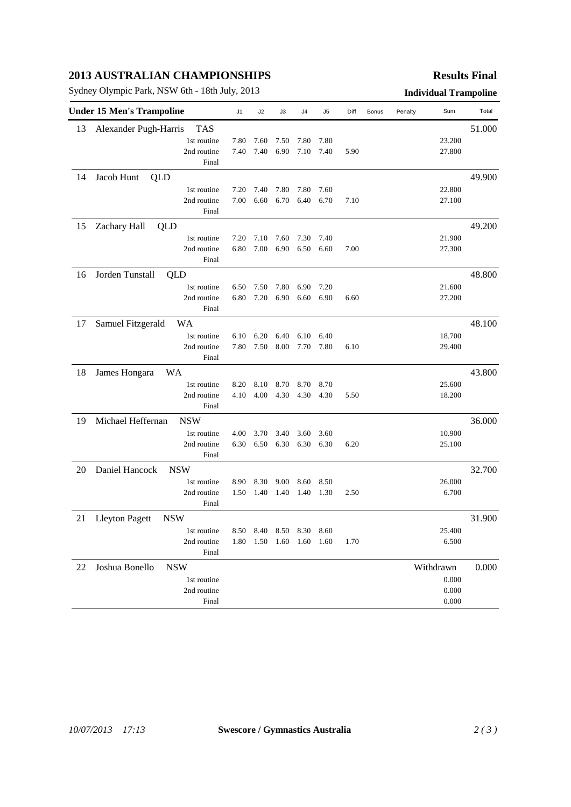## **2013 AUSTRALIAN CHAMPIONSHIPS**

Sydney Olympic Park, NSW 6th - 18th July, 2013 **Individual Trampoline**

### **Results Final**

| <b>Under 15 Men's Trampoline</b> |                                     |      | J2   | J3   | J4                           | J <sub>5</sub> | Diff | Bonus | Penalty | Sum       | Total  |
|----------------------------------|-------------------------------------|------|------|------|------------------------------|----------------|------|-------|---------|-----------|--------|
| 13                               | <b>TAS</b><br>Alexander Pugh-Harris |      |      |      |                              |                |      |       |         |           | 51.000 |
|                                  | 1st routine                         | 7.80 | 7.60 | 7.50 | 7.80                         | 7.80           |      |       |         | 23.200    |        |
|                                  | 2nd routine                         | 7.40 | 7.40 | 6.90 | 7.10                         | 7.40           | 5.90 |       |         | 27.800    |        |
|                                  | Final                               |      |      |      |                              |                |      |       |         |           |        |
| 14                               | Jacob Hunt<br>QLD                   |      |      |      |                              |                |      |       |         |           | 49.900 |
|                                  | 1st routine                         | 7.20 | 7.40 | 7.80 | 7.80                         | 7.60           |      |       |         | 22.800    |        |
|                                  | 2nd routine                         | 7.00 | 6.60 | 6.70 | 6.40                         | 6.70           | 7.10 |       |         | 27.100    |        |
|                                  | Final                               |      |      |      |                              |                |      |       |         |           |        |
| 15                               | Zachary Hall<br>QLD                 |      |      |      |                              |                |      |       |         |           | 49.200 |
|                                  | 1st routine                         | 7.20 | 7.10 | 7.60 | 7.30                         | 7.40           |      |       |         | 21.900    |        |
|                                  | 2nd routine                         | 6.80 | 7.00 | 6.90 | 6.50                         | 6.60           | 7.00 |       |         | 27.300    |        |
|                                  | Final                               |      |      |      |                              |                |      |       |         |           |        |
| 16                               | Jorden Tunstall<br>QLD              |      |      |      |                              |                |      |       |         |           | 48.800 |
|                                  | 1st routine                         | 6.50 | 7.50 | 7.80 | 6.90                         | 7.20           |      |       |         | 21.600    |        |
|                                  | 2nd routine                         | 6.80 | 7.20 | 6.90 | 6.60                         | 6.90           | 6.60 |       |         | 27.200    |        |
|                                  | Final                               |      |      |      |                              |                |      |       |         |           |        |
| 17                               | WA<br>Samuel Fitzgerald             |      |      |      |                              |                |      |       |         |           | 48.100 |
|                                  | 1st routine                         | 6.10 | 6.20 | 6.40 | 6.10                         | 6.40           |      |       |         | 18.700    |        |
|                                  | 2nd routine                         | 7.80 | 7.50 | 8.00 | 7.70                         | 7.80           | 6.10 |       |         | 29.400    |        |
|                                  | Final                               |      |      |      |                              |                |      |       |         |           |        |
| 18                               | James Hongara<br><b>WA</b>          |      |      |      |                              |                |      |       |         |           | 43.800 |
|                                  | 1st routine                         | 8.20 | 8.10 | 8.70 | 8.70                         | 8.70           |      |       |         | 25.600    |        |
|                                  | 2nd routine                         | 4.10 | 4.00 | 4.30 | 4.30                         | 4.30           | 5.50 |       |         | 18.200    |        |
|                                  | Final                               |      |      |      |                              |                |      |       |         |           |        |
| 19                               | Michael Heffernan<br><b>NSW</b>     |      |      |      |                              |                |      |       |         |           | 36.000 |
|                                  | 1st routine                         | 4.00 | 3.70 | 3.40 | 3.60                         | 3.60           |      |       |         | 10.900    |        |
|                                  | 2nd routine                         | 6.30 | 6.50 | 6.30 | 6.30                         | 6.30           | 6.20 |       |         | 25.100    |        |
|                                  | Final                               |      |      |      |                              |                |      |       |         |           |        |
| 20                               | Daniel Hancock<br><b>NSW</b>        |      |      |      |                              |                |      |       |         |           | 32.700 |
|                                  | 1st routine                         | 8.90 | 8.30 | 9.00 | 8.60                         | 8.50           |      |       |         | 26.000    |        |
|                                  | 2nd routine                         | 1.50 | 1.40 | 1.40 | 1.40                         | 1.30           | 2.50 |       |         | 6.700     |        |
|                                  | Final                               |      |      |      |                              |                |      |       |         |           |        |
| 21                               | <b>Lleyton Pagett</b><br><b>NSW</b> |      |      |      |                              |                |      |       |         |           | 31.900 |
|                                  | 1st routine                         | 8.50 |      |      | 8.40 8.50 8.30 8.60          |                |      |       |         | 25.400    |        |
|                                  | 2nd routine                         |      |      |      | 1.80  1.50  1.60  1.60  1.60 |                | 1.70 |       |         | 6.500     |        |
|                                  | Final                               |      |      |      |                              |                |      |       |         |           |        |
| 22                               | Joshua Bonello<br><b>NSW</b>        |      |      |      |                              |                |      |       |         | Withdrawn | 0.000  |
|                                  | 1st routine                         |      |      |      |                              |                |      |       |         | 0.000     |        |
|                                  | 2nd routine                         |      |      |      |                              |                |      |       |         | 0.000     |        |
|                                  | Final                               |      |      |      |                              |                |      |       |         | 0.000     |        |